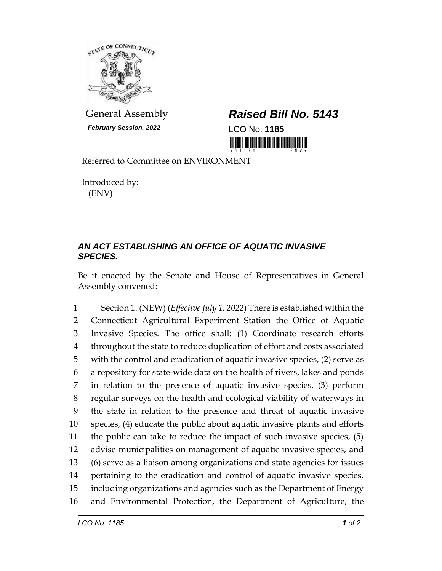

*February Session, 2022* LCO No. **1185**

## General Assembly *Raised Bill No. 5143*

Referred to Committee on ENVIRONMENT

Introduced by: (ENV)

## *AN ACT ESTABLISHING AN OFFICE OF AQUATIC INVASIVE SPECIES.*

Be it enacted by the Senate and House of Representatives in General Assembly convened:

 Section 1. (NEW) (*Effective July 1, 2022*) There is established within the Connecticut Agricultural Experiment Station the Office of Aquatic Invasive Species. The office shall: (1) Coordinate research efforts throughout the state to reduce duplication of effort and costs associated with the control and eradication of aquatic invasive species, (2) serve as a repository for state-wide data on the health of rivers, lakes and ponds in relation to the presence of aquatic invasive species, (3) perform regular surveys on the health and ecological viability of waterways in the state in relation to the presence and threat of aquatic invasive species, (4) educate the public about aquatic invasive plants and efforts the public can take to reduce the impact of such invasive species, (5) advise municipalities on management of aquatic invasive species, and (6) serve as a liaison among organizations and state agencies for issues pertaining to the eradication and control of aquatic invasive species, including organizations and agencies such as the Department of Energy and Environmental Protection, the Department of Agriculture, the